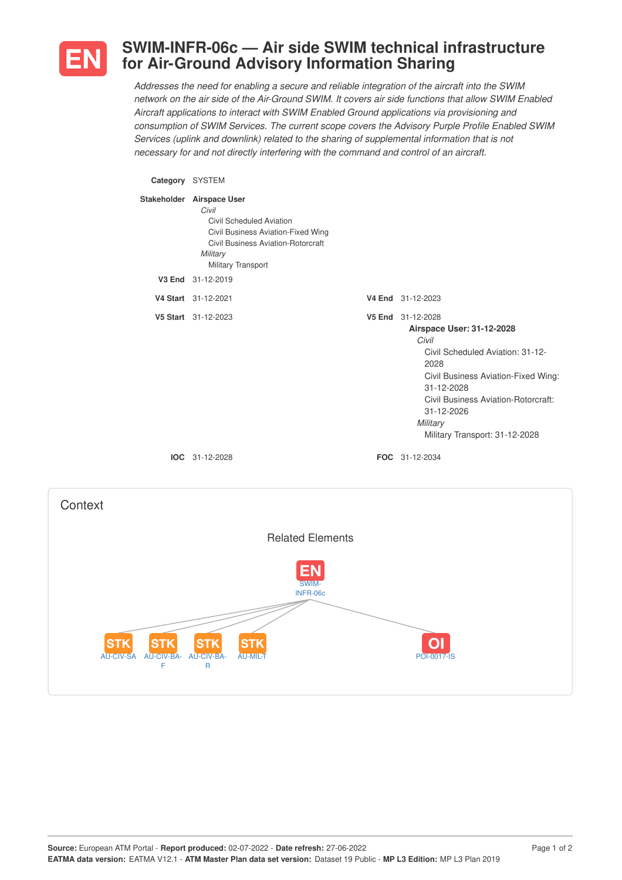

## **SWIM-INFR-06c — Air side SWIM technical infrastructure for Air-Ground Advisory Information Sharing**

*Addresses the need for enabling a secure and reliable integration of the aircraft into the SWIM* network on the air side of the Air-Ground SWIM. It covers air side functions that allow SWIM Enabled *Aircraft applications to interact with SWIM Enabled Ground applications via provisioning and consumption of SWIM Services. The current scope covers the Advisory Purple Profile Enabled SWIM Services (uplink and downlink) related to the sharing of supplemental information that is not necessary for and not directly interfering with the command and control of an aircraft.*

## **Category** SYSTEM